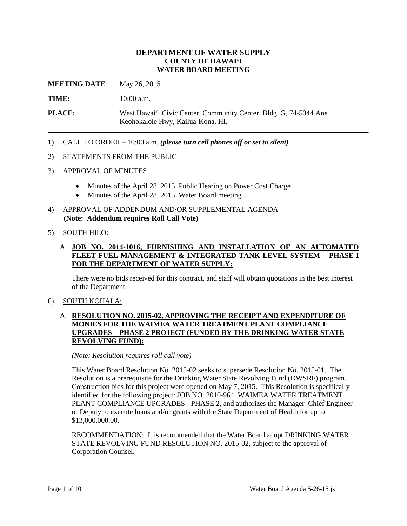## **DEPARTMENT OF WATER SUPPLY COUNTY OF HAWAI'I WATER BOARD MEETING**

**MEETING DATE:** May 26, 2015

TIME:  $10:00$  a.m.

**PLACE:** West Hawai'i Civic Center, Community Center, Bldg. G, 74-5044 Ane Keohokalole Hwy, Kailua-Kona, HI.

1) CALL TO ORDER – 10:00 a.m. *(please turn cell phones off or set to silent)* 

#### 2) STATEMENTS FROM THE PUBLIC

- 3) APPROVAL OF MINUTES
	- Minutes of the April 28, 2015, Public Hearing on Power Cost Charge
	- Minutes of the April 28, 2015, Water Board meeting
- 4) APPROVAL OF ADDENDUM AND/OR SUPPLEMENTAL AGENDA **(Note: Addendum requires Roll Call Vote)**

#### 5) SOUTH HILO:

## A. **JOB NO. 2014-1016, FURNISHING AND INSTALLATION OF AN AUTOMATED FLEET FUEL MANAGEMENT & INTEGRATED TANK LEVEL SYSTEM – PHASE I FOR THE DEPARTMENT OF WATER SUPPLY:**

There were no bids received for this contract, and staff will obtain quotations in the best interest of the Department.

#### 6) SOUTH KOHALA:

## **UPGRADES – PHASE 2 PROJECT (FUNDED BY THE DRINKING WATER STATE**  A. **RESOLUTION NO. 2015-02, APPROVING THE RECEIPT AND EXPENDITURE OF MONIES FOR THE WAIMEA WATER TREATMENT PLANT COMPLIANCE REVOLVING FUND):**

#### *(Note: Resolution requires roll call vote)*

 Resolution is a prerequisite for the Drinking Water State Revolving Fund (DWSRF) program. This Water Board Resolution No. 2015-02 seeks to supersede Resolution No. 2015-01. The Construction bids for this project were opened on May 7, 2015. This Resolution is specifically identified for the following project: JOB NO. 2010-964, WAIMEA WATER TREATMENT PLANT COMPLIANCE UPGRADES - PHASE 2, and authorizes the Manager–Chief Engineer or Deputy to execute loans and/or grants with the State Department of Health for up to \$13,000,000.00.

RECOMMENDATION: It is recommended that the Water Board adopt DRINKING WATER STATE REVOLVING FUND RESOLUTION NO. 2015-02, subject to the approval of Corporation Counsel.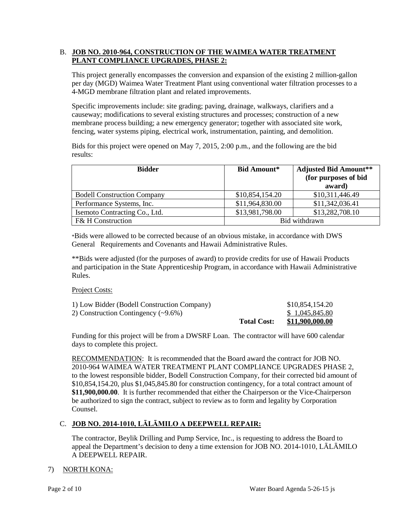## B. JOB NO. 2010-964, CONSTRUCTION OF THE WAIMEA WATER TREATMENT **PLANT COMPLIANCE UPGRADES, PHASE 2:**

 This project generally encompasses the conversion and expansion of the existing 2 million-gallon per day (MGD) Waimea Water Treatment Plant using conventional water filtration processes to a 4-MGD membrane filtration plant and related improvements.

 membrane process building; a new emergency generator; together with associated site work, Specific improvements include: site grading; paving, drainage, walkways, clarifiers and a causeway; modifications to several existing structures and processes; construction of a new fencing, water systems piping, electrical work, instrumentation, painting, and demolition.

Bids for this project were opened on May 7, 2015, 2:00 p.m., and the following are the bid results:

| <b>Bidder</b>                      | <b>Bid Amount*</b> | <b>Adjusted Bid Amount**</b><br>(for purposes of bid<br>award) |
|------------------------------------|--------------------|----------------------------------------------------------------|
| <b>Bodell Construction Company</b> | \$10,854,154.20    | \$10,311,446.49                                                |
| Performance Systems, Inc.          | \$11,964,830.00    | \$11,342,036.41                                                |
| Isemoto Contracting Co., Ltd.      | \$13,981,798.00    | \$13,282,708.10                                                |
| <b>F&amp; H Construction</b>       | Bid withdrawn      |                                                                |

\*Bids were allowed to be corrected because of an obvious mistake, in accordance with DWS General Requirements and Covenants and Hawaii Administrative Rules.

 \*\*Bids were adjusted (for the purposes of award) to provide credits for use of Hawaii Products and participation in the State Apprenticeship Program, in accordance with Hawaii Administrative Rules.

### Project Costs:

| 1) Low Bidder (Bodell Construction Company)<br>2) Construction Contingency $(\sim 9.6\%)$ |                    | \$10,854,154.20<br>\$1,045,845.80 |
|-------------------------------------------------------------------------------------------|--------------------|-----------------------------------|
|                                                                                           | <b>Total Cost:</b> | <u>\$11,900,000.00</u>            |

 Funding for this project will be from a DWSRF Loan. The contractor will have 600 calendar days to complete this project.

RECOMMENDATION: It is recommended that the Board award the contract for JOB NO. \$10,854,154.20, plus \$1,045,845.80 for construction contingency, for a total contract amount of be authorized to sign the contract, subject to review as to form and legality by Corporation 2010-964 WAIMEA WATER TREATMENT PLANT COMPLIANCE UPGRADES PHASE 2, to the lowest responsible bidder, Bodell Construction Company, for their corrected bid amount of **\$11,900,000.00**. It is further recommended that either the Chairperson or the Vice-Chairperson Counsel.

## C. **JOB NO. 2014-1010, LĀLĀMILO A DEEPWELL REPAIR:**

The contractor, Beylik Drilling and Pump Service, Inc., is requesting to address the Board to appeal the Department's decision to deny a time extension for JOB NO. 2014-1010, LĀLĀMILO A DEEPWELL REPAIR.

## 7) NORTH KONA: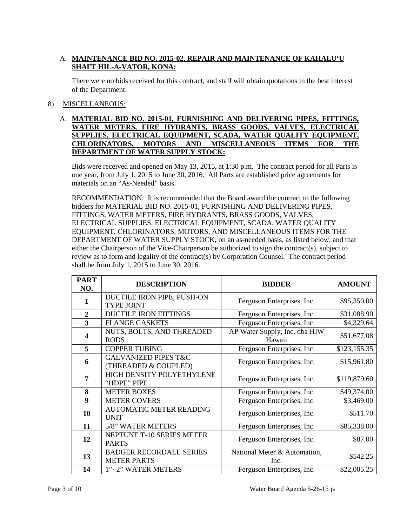## A. MAINTENANCE BID NO. 2015-02, REPAIR AND MAINTENANCE OF KAHALU'U **SHAFT HIL-A-VATOR, KONA:**

There were no bids received for this contract, and staff will obtain quotations in the best interest of the Department.

## 8) MISCELLANEOUS:

### A. **MATERIAL BID NO. 2015-01, FURNISHING AND DELIVERING PIPES, FITTINGS, WATER METERS, FIRE HYDRANTS, BRASS GOODS, VALVES, ELECTRICAL SUPPLIES, ELECTRICAL EQUIPMENT, SCADA, WATER QUALITY EQUIPMENT, CHLORINATORS, MOTORS AND MISCELLANEOUS ITEMS FOR THE DEPARTMENT OF WATER SUPPLY STOCK:**

Bids were received and opened on May 13, 2015, at 1:30 p.m. The contract period for all Parts is one year, from July 1, 2015 to June 30, 2016. All Parts are established price agreements for materials on an "As-Needed" basis.

RECOMMENDATION: It is recommended that the Board award the contract to the following bidders for MATERIAL BID NO. 2015-01, FURNISHING AND DELIVERING PIPES, FITTINGS, WATER METERS, FIRE HYDRANTS, BRASS GOODS, VALVES, ELECTRICAL SUPPLIES, ELECTRICAL EQUIPMENT, SCADA, WATER QUALITY EQUIPMENT, CHLORINATORS, MOTORS, AND MISCELLANEOUS ITEMS FOR THE DEPARTMENT OF WATER SUPPLY STOCK, on an as-needed basis, as listed below, and that either the Chairperson of the Vice-Chairperson be authorized to sign the contract(s), subject to review as to form and legality of the contract(s) by Corporation Counsel. The contract period shall be from July 1, 2015 to June 30, 2016.

| <b>PART</b><br>NO.      | <b>DESCRIPTION</b>                                      | <b>BIDDER</b>                           | <b>AMOUNT</b> |
|-------------------------|---------------------------------------------------------|-----------------------------------------|---------------|
| 1                       | DUCTILE IRON PIPE, PUSH-ON<br><b>TYPE JOINT</b>         | Ferguson Enterprises, Inc.              | \$95,350.00   |
| $\overline{2}$          | <b>DUCTILE IRON FITTINGS</b>                            | Ferguson Enterprises, Inc.              | \$31,088.90   |
| 3                       | <b>FLANGE GASKETS</b>                                   | Ferguson Enterprises, Inc.              | \$4,329.64    |
| $\overline{\mathbf{4}}$ | NUTS, BOLTS, AND THREADED<br><b>RODS</b>                | AP Water Supply, Inc. dba HIW<br>Hawaii | \$51,677.08   |
| 5                       | <b>COPPER TUBING</b>                                    | Ferguson Enterprises, Inc.              | \$123,155.35  |
| 6                       | <b>GALVANIZED PIPES T&amp;C</b><br>(THREADED & COUPLED) | Ferguson Enterprises, Inc.              | \$15,961.80   |
| 7                       | HIGH DENSITY POLYETHYLENE<br>"HDPE" PIPE                | Ferguson Enterprises, Inc.              | \$119,879.60  |
| 8                       | <b>METER BOXES</b>                                      | Ferguson Enterprises, Inc.              | \$49,374.00   |
| 9                       | <b>METER COVERS</b>                                     | Ferguson Enterprises, Inc.              | \$3,469.00    |
| 10                      | <b>AUTOMATIC METER READING</b><br><b>UNIT</b>           | Ferguson Enterprises, Inc.              | \$511.70      |
| 11                      | 5/8" WATER METERS                                       | Ferguson Enterprises, Inc.              | \$85,338.00   |
| 12                      | NEPTUNE T-10 SERIES METER<br><b>PARTS</b>               | Ferguson Enterprises, Inc.              | \$87.00       |
| 13                      | <b>BADGER RECORDALL SERIES</b><br><b>METER PARTS</b>    | National Meter & Automation,<br>Inc.    | \$542.25      |
| 14                      | 1"-2" WATER METERS                                      | Ferguson Enterprises, Inc.              | \$22,005.25   |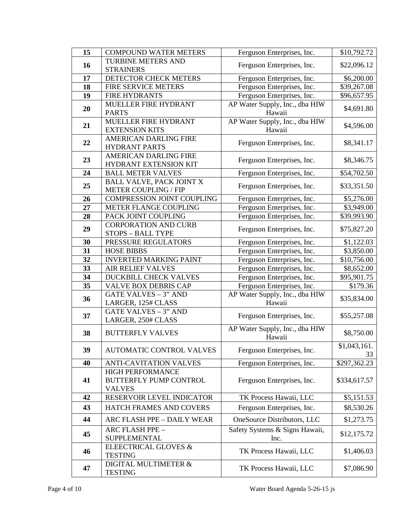| 15 | <b>COMPOUND WATER METERS</b>                   | Ferguson Enterprises, Inc.     | \$10,792.72             |
|----|------------------------------------------------|--------------------------------|-------------------------|
|    | <b>TURBINE METERS AND</b>                      |                                |                         |
| 16 | Ferguson Enterprises, Inc.<br><b>STRAINERS</b> |                                | \$22,096.12             |
| 17 | DETECTOR CHECK METERS                          | Ferguson Enterprises, Inc.     | \$6,200.00              |
| 18 | FIRE SERVICE METERS                            | Ferguson Enterprises, Inc.     | \$39,267.08             |
| 19 | <b>FIRE HYDRANTS</b>                           | Ferguson Enterprises, Inc.     | \$96,657.95             |
|    | MUELLER FIRE HYDRANT                           | AP Water Supply, Inc., dba HIW |                         |
| 20 | <b>PARTS</b>                                   | Hawaii                         | \$4,691.80              |
|    | MUELLER FIRE HYDRANT                           | AP Water Supply, Inc., dba HIW |                         |
| 21 | <b>EXTENSION KITS</b>                          | Hawaii                         | \$4,596.00              |
|    | <b>AMERICAN DARLING FIRE</b>                   |                                | \$8,341.17              |
| 22 | <b>HYDRANT PARTS</b>                           | Ferguson Enterprises, Inc.     |                         |
| 23 | <b>AMERICAN DARLING FIRE</b>                   |                                | \$8,346.75              |
|    | HYDRANT EXTENSION KIT                          | Ferguson Enterprises, Inc.     |                         |
| 24 | <b>BALL METER VALVES</b>                       | Ferguson Enterprises, Inc.     | \$54,702.50             |
| 25 | <b>BALL VALVE, PACK JOINT X</b>                | Ferguson Enterprises, Inc.     | \$33,351.50             |
|    | <b>METER COUPLING / FIP</b>                    |                                |                         |
| 26 | COMPRESSION JOINT COUPLING                     | Ferguson Enterprises, Inc.     | \$5,276.00              |
| 27 | METER FLANGE COUPLING                          | Ferguson Enterprises, Inc.     | \$3,949.00              |
| 28 | PACK JOINT COUPLING                            | Ferguson Enterprises, Inc.     | \$39,993.90             |
| 29 | <b>CORPORATION AND CURB</b>                    | Ferguson Enterprises, Inc.     | \$75,827.20             |
|    | <b>STOPS - BALL TYPE</b>                       |                                |                         |
| 30 | PRESSURE REGULATORS                            | Ferguson Enterprises, Inc.     | \$1,122.03              |
| 31 | <b>HOSE BIBBS</b>                              | Ferguson Enterprises, Inc.     | \$3,850.00              |
| 32 | <b>INVERTED MARKING PAINT</b>                  | Ferguson Enterprises, Inc.     | \$10,756.00             |
| 33 | <b>AIR RELIEF VALVES</b>                       | Ferguson Enterprises, Inc.     | \$8,652.00              |
| 34 | DUCKBILL CHECK VALVES                          | Ferguson Enterprises, Inc.     | \$95,901.75             |
| 35 | <b>VALVE BOX DEBRIS CAP</b>                    | Ferguson Enterprises, Inc.     | \$179.36                |
| 36 | <b>GATE VALVES - 3" AND</b>                    | AP Water Supply, Inc., dba HIW | \$35,834.00             |
|    | LARGER, 125# CLASS                             | Hawaii                         |                         |
| 37 | <b>GATE VALVES - 3" AND</b>                    | Ferguson Enterprises, Inc.     | \$55,257.08             |
|    | LARGER, 250# CLASS                             |                                |                         |
| 38 | <b>BUTTERFLY VALVES</b>                        | AP Water Supply, Inc., dba HIW | \$8,750.00              |
|    |                                                | Hawaii                         |                         |
| 39 | <b>AUTOMATIC CONTROL VALVES</b>                | Ferguson Enterprises, Inc.     | $\overline{1,043,161}.$ |
|    |                                                |                                | 33                      |
| 40 | <b>ANTI-CAVITATION VALVES</b>                  | Ferguson Enterprises, Inc.     | \$297,362.23            |
|    | <b>HIGH PERFORMANCE</b>                        |                                |                         |
| 41 | <b>BUTTERFLY PUMP CONTROL</b><br><b>VALVES</b> | Ferguson Enterprises, Inc.     | \$334,617.57            |
| 42 | RESERVOIR LEVEL INDICATOR                      | TK Process Hawaii, LLC         | \$5,151.53              |
|    |                                                |                                |                         |
| 43 | HATCH FRAMES AND COVERS                        | Ferguson Enterprises, Inc.     | \$8,530.26              |
| 44 | ARC FLASH PPE - DAILY WEAR                     | OneSource Distributors, LLC    | \$1,273.75              |
| 45 | ARC FLASH PPE -                                | Safety Systems & Signs Hawaii, | \$12,175.72             |
|    | SUPPLEMENTAL                                   | Inc.                           |                         |
| 46 | ELEECTRICAL GLOVES &                           | TK Process Hawaii, LLC         | \$1,406.03              |
|    | <b>TESTING</b>                                 |                                |                         |
|    | DIGITAL MULTIMETER &                           | TK Process Hawaii, LLC         | \$7,086.90              |
| 47 | <b>TESTING</b>                                 |                                |                         |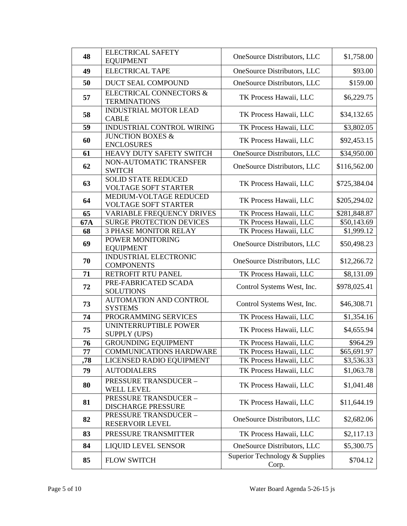| 48  | <b>ELECTRICAL SAFETY</b><br><b>EQUIPMENT</b>              | OneSource Distributors, LLC             | \$1,758.00             |
|-----|-----------------------------------------------------------|-----------------------------------------|------------------------|
| 49  | <b>ELECTRICAL TAPE</b>                                    | OneSource Distributors, LLC             | \$93.00                |
| 50  | <b>DUCT SEAL COMPOUND</b>                                 | OneSource Distributors, LLC             | \$159.00               |
| 57  | <b>ELECTRICAL CONNECTORS &amp;</b><br><b>TERMINATIONS</b> | TK Process Hawaii, LLC                  | \$6,229.75             |
| 58  | <b>INDUSTRIAL MOTOR LEAD</b><br><b>CABLE</b>              | TK Process Hawaii, LLC                  | \$34,132.65            |
| 59  | INDUSTRIAL CONTROL WIRING                                 | TK Process Hawaii, LLC                  | \$3,802.05             |
| 60  | <b>JUNCTION BOXES &amp;</b><br><b>ENCLOSURES</b>          | TK Process Hawaii, LLC                  | \$92,453.15            |
| 61  | HEAVY DUTY SAFETY SWITCH                                  | OneSource Distributors, LLC             | \$34,950.00            |
| 62  | NON-AUTOMATIC TRANSFER<br><b>SWITCH</b>                   | OneSource Distributors, LLC             | \$116,562.00           |
| 63  | <b>SOLID STATE REDUCED</b><br><b>VOLTAGE SOFT STARTER</b> | TK Process Hawaii, LLC                  | \$725,384.04           |
| 64  | MEDIUM-VOLTAGE REDUCED<br><b>VOLTAGE SOFT STARTER</b>     | TK Process Hawaii, LLC                  | \$205,294.02           |
| 65  | <b>VARIABLE FREQUENCY DRIVES</b>                          | TK Process Hawaii, LLC                  | \$281,848.87           |
| 67A | <b>SURGE PROTECTION DEVICES</b>                           | TK Process Hawaii, LLC                  | \$50,143.69            |
| 68  | <b>3 PHASE MONITOR RELAY</b>                              | TK Process Hawaii, LLC                  | \$1,999.12             |
| 69  | POWER MONITORING<br><b>EQUIPMENT</b>                      | OneSource Distributors, LLC             | \$50,498.23            |
| 70  | INDUSTRIAL ELECTRONIC<br><b>COMPONENTS</b>                | OneSource Distributors, LLC             | \$12,266.72            |
| 71  | RETROFIT RTU PANEL                                        | TK Process Hawaii, LLC                  | \$8,131.09             |
| 72  | PRE-FABRICATED SCADA<br><b>SOLUTIONS</b>                  | Control Systems West, Inc.              | \$978,025.41           |
| 73  | <b>AUTOMATION AND CONTROL</b><br><b>SYSTEMS</b>           | Control Systems West, Inc.              | \$46,308.71            |
| 74  | PROGRAMMING SERVICES                                      | TK Process Hawaii, LLC                  | $\overline{$}1,354.16$ |
| 75  | UNINTERRUPTIBLE POWER<br><b>SUPPLY (UPS)</b>              | TK Process Hawaii, LLC                  | \$4,655.94             |
| 76  | <b>GROUNDING EQUIPMENT</b>                                | TK Process Hawaii, LLC                  | \$964.29               |
| 77  | <b>COMMUNICATIONS HARDWARE</b>                            | TK Process Hawaii, LLC                  | \$65,691.97            |
| ,78 | LICENSED RADIO EQUIPMENT                                  | TK Process Hawaii, LLC                  | \$3,536.33             |
| 79  | <b>AUTODIALERS</b>                                        | TK Process Hawaii, LLC                  | \$1,063.78             |
| 80  | <b>PRESSURE TRANSDUCER -</b><br><b>WELL LEVEL</b>         | TK Process Hawaii, LLC                  | \$1,041.48             |
| 81  | <b>PRESSURE TRANSDUCER -</b><br><b>DISCHARGE PRESSURE</b> | TK Process Hawaii, LLC                  | \$11,644.19            |
| 82  | PRESSURE TRANSDUCER-<br>RESERVOIR LEVEL                   | OneSource Distributors, LLC             | \$2,682.06             |
| 83  | PRESSURE TRANSMITTER                                      | TK Process Hawaii, LLC                  | \$2,117.13             |
| 84  | <b>LIQUID LEVEL SENSOR</b>                                | OneSource Distributors, LLC             | \$5,300.75             |
| 85  | <b>FLOW SWITCH</b>                                        | Superior Technology & Supplies<br>Corp. | \$704.12               |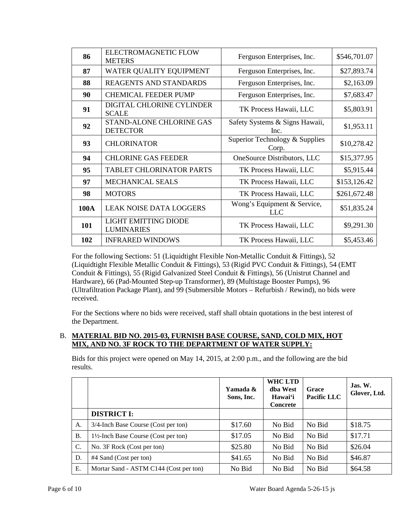| 86   | <b>ELECTROMAGNETIC FLOW</b><br><b>METERS</b>     | Ferguson Enterprises, Inc.              | \$546,701.07 |
|------|--------------------------------------------------|-----------------------------------------|--------------|
| 87   | WATER QUALITY EQUIPMENT                          | Ferguson Enterprises, Inc.              | \$27,893.74  |
| 88   | REAGENTS AND STANDARDS                           | Ferguson Enterprises, Inc.              | \$2,163.09   |
| 90   | <b>CHEMICAL FEEDER PUMP</b>                      | Ferguson Enterprises, Inc.              | \$7,683.47   |
| 91   | DIGITAL CHLORINE CYLINDER<br><b>SCALE</b>        | TK Process Hawaii, LLC                  | \$5,803.91   |
| 92   | STAND-ALONE CHLORINE GAS<br><b>DETECTOR</b>      | Safety Systems & Signs Hawaii,<br>Inc.  | \$1,953.11   |
| 93   | <b>CHLORINATOR</b>                               | Superior Technology & Supplies<br>Corp. | \$10,278.42  |
| 94   | <b>CHLORINE GAS FEEDER</b>                       | OneSource Distributors, LLC             | \$15,377.95  |
| 95   | <b>TABLET CHLORINATOR PARTS</b>                  | TK Process Hawaii, LLC                  | \$5,915.44   |
| 97   | <b>MECHANICAL SEALS</b>                          | TK Process Hawaii, LLC                  | \$153,126.42 |
| 98   | <b>MOTORS</b>                                    | TK Process Hawaii, LLC                  | \$261,672.48 |
| 100A | <b>LEAK NOISE DATA LOGGERS</b>                   | Wong's Equipment & Service,<br>LLC      | \$51,835.24  |
| 101  | <b>LIGHT EMITTING DIODE</b><br><b>LUMINARIES</b> | TK Process Hawaii, LLC                  | \$9,291.30   |
| 102  | <b>INFRARED WINDOWS</b>                          | TK Process Hawaii, LLC                  | \$5,453.46   |

 (Liquidtight Flexible Metallic Conduit & Fittings), 53 (Rigid PVC Conduit & Fittings), 54 (EMT For the following Sections: 51 (Liquidtight Flexible Non-Metallic Conduit & Fittings), 52 Conduit & Fittings), 55 (Rigid Galvanized Steel Conduit & Fittings), 56 (Unistrut Channel and Hardware), 66 (Pad-Mounted Step-up Transformer), 89 (Multistage Booster Pumps), 96 (Ultrafiltration Package Plant), and 99 (Submersible Motors – Refurbish / Rewind), no bids were received.

 For the Sections where no bids were received, staff shall obtain quotations in the best interest of the Department.

## B. MATERIAL BID NO. 2015-03, FURNISH BASE COURSE, SAND, COLD MIX, HOT **MIX, AND NO. 3F ROCK TO THE DEPARTMENT OF WATER SUPPLY:**

Bids for this project were opened on May 14, 2015, at 2:00 p.m., and the following are the bid results.

|           |                                        | Yamada &<br>Sons, Inc. | <b>WHC LTD</b><br>dba West<br>Hawai'i<br>Concrete | Grace<br><b>Pacific LLC</b> | $\mathbf{J}$ as. W.<br>Glover, Ltd. |
|-----------|----------------------------------------|------------------------|---------------------------------------------------|-----------------------------|-------------------------------------|
|           | <b>DISTRICT I:</b>                     |                        |                                                   |                             |                                     |
| A.        | 3/4-Inch Base Course (Cost per ton)    | \$17.60                | No Bid                                            | No Bid                      | \$18.75                             |
| <b>B.</b> | 1½-Inch Base Course (Cost per ton)     | \$17.05                | No Bid                                            | No Bid                      | \$17.71                             |
| C.        | No. 3F Rock (Cost per ton)             | \$25.80                | No Bid                                            | No Bid                      | \$26.04                             |
| D.        | #4 Sand (Cost per ton)                 | \$41.65                | No Bid                                            | No Bid                      | \$46.87                             |
| Е.        | Mortar Sand - ASTM C144 (Cost per ton) | No Bid                 | No Bid                                            | No Bid                      | \$64.58                             |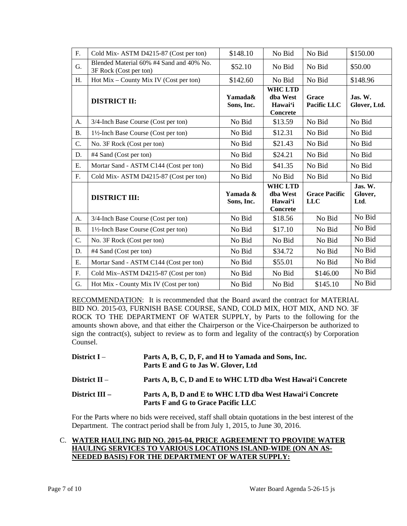| F.               | Cold Mix-ASTM D4215-87 (Cost per ton)                              | \$148.10               | No Bid                                                   | No Bid                             | \$150.00                   |
|------------------|--------------------------------------------------------------------|------------------------|----------------------------------------------------------|------------------------------------|----------------------------|
| G.               | Blended Material 60% #4 Sand and 40% No.<br>3F Rock (Cost per ton) | \$52.10                | No Bid                                                   | No Bid                             | \$50.00                    |
| H.               | $Hot Mix - County Mix IV (Cost per ton)$                           | \$142.60               | No Bid                                                   | No Bid                             | \$148.96                   |
|                  | <b>DISTRICT II:</b>                                                | Yamada&<br>Sons, Inc.  | <b>WHC LTD</b><br>dba West<br>Hawai'i<br><b>Concrete</b> | Grace<br><b>Pacific LLC</b>        | Jas. W.<br>Glover, Ltd.    |
| A.               | 3/4-Inch Base Course (Cost per ton)                                | No Bid                 | \$13.59                                                  | No Bid                             | No Bid                     |
| <b>B.</b>        | 1½-Inch Base Course (Cost per ton)                                 | No Bid                 | \$12.31                                                  | No Bid                             | No Bid                     |
| $\overline{C}$ . | No. 3F Rock (Cost per ton)                                         | No Bid                 | \$21.43                                                  | No Bid                             | No Bid                     |
| D.               | #4 Sand (Cost per ton)                                             | No Bid                 | \$24.21                                                  | No Bid                             | No Bid                     |
| Ε.               | Mortar Sand - ASTM C144 (Cost per ton)                             | No Bid                 | \$41.35                                                  | No Bid                             | No Bid                     |
| F.               | Cold Mix-ASTM D4215-87 (Cost per ton)                              | No Bid                 | No Bid                                                   | No Bid                             | No Bid                     |
|                  | <b>DISTRICT III:</b>                                               | Yamada &<br>Sons, Inc. | <b>WHC LTD</b><br>dba West<br>Hawai'i<br><b>Concrete</b> | <b>Grace Pacific</b><br><b>LLC</b> | Jas. W.<br>Glover,<br>Ltd. |
| A.               | 3/4-Inch Base Course (Cost per ton)                                | No Bid                 | \$18.56                                                  | No Bid                             | No Bid                     |
| <b>B.</b>        | 1½-Inch Base Course (Cost per ton)                                 | No Bid                 | \$17.10                                                  | No Bid                             | No Bid                     |
| $\overline{C}$ . | No. 3F Rock (Cost per ton)                                         | No Bid                 | No Bid                                                   | No Bid                             | No Bid                     |
| D.               | #4 Sand (Cost per ton)                                             | No Bid                 | \$34.72                                                  | No Bid                             | No Bid                     |
| Ε.               | Mortar Sand - ASTM C144 (Cost per ton)                             | No Bid                 | \$55.01                                                  | No Bid                             | No Bid                     |
| F.               | Cold Mix-ASTM D4215-87 (Cost per ton)                              | No Bid                 | No Bid                                                   | \$146.00                           | No Bid                     |
| G.               | Hot Mix - County Mix IV (Cost per ton)                             | No Bid                 | No Bid                                                   | \$145.10                           | No Bid                     |

RECOMMENDATION: It is recommended that the Board award the contract for MATERIAL BID NO. 2015-03, FURNISH BASE COURSE, SAND, COLD MIX, HOT MIX, AND NO. 3F sign the contract(s), subject to review as to form and legality of the contract(s) by Corporation ROCK TO THE DEPARTMENT OF WATER SUPPLY, by Parts to the following for the amounts shown above, and that either the Chairperson or the Vice-Chairperson be authorized to Counsel.

District  $II -$ Parts A, B, C, D, F, and H to Yamada and Sons, Inc. **Parts E and G to Jas W. Glover, Ltd** Parts A, B, C, D and E to WHC LTD dba West Hawai'i Concrete **District III – Parts A, B, D and E to WHC LTD dba West Hawai'i Concrete Parts F and G to Grace Pacific LLC** 

 Department. The contract period shall be from July 1, 2015, to June 30, 2016. For the Parts where no bids were received, staff shall obtain quotations in the best interest of the

## C. **WATER HAULING BID NO. 2015-04, PRICE AGREEMENT TO PROVIDE WATER HAULING SERVICES TO VARIOUS LOCATIONS ISLAND-WIDE (ON AN AS-NEEDED BASIS) FOR THE DEPARTMENT OF WATER SUPPLY:**

District  $I -$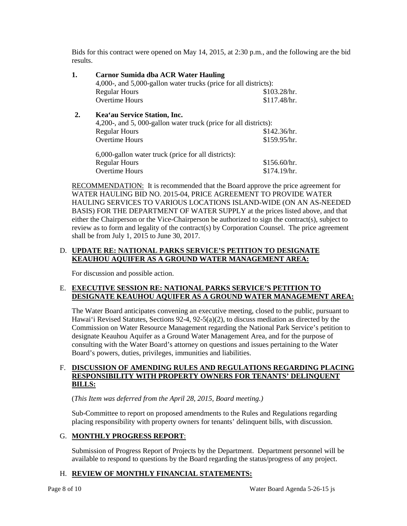Bids for this contract were opened on May 14, 2015, at 2:30 p.m., and the following are the bid results.

| 1. | <b>Carnor Sumida dba ACR Water Hauling</b><br>4,000-, and 5,000-gallon water trucks (price for all districts): |              |  |  |  |
|----|----------------------------------------------------------------------------------------------------------------|--------------|--|--|--|
|    | <b>Regular Hours</b>                                                                                           | \$103.28/hr. |  |  |  |
|    | <b>Overtime Hours</b>                                                                                          | \$117.48/hr. |  |  |  |
| 2. | Kea'au Service Station, Inc.                                                                                   |              |  |  |  |
|    | 4,200-, and 5,000-gallon water truck (price for all districts):                                                |              |  |  |  |
|    | <b>Regular Hours</b>                                                                                           | \$142.36/hr. |  |  |  |
|    | <b>Overtime Hours</b>                                                                                          | \$159.95/hr. |  |  |  |
|    | 6,000-gallon water truck (price for all districts):                                                            |              |  |  |  |
|    | <b>Regular Hours</b>                                                                                           | \$156.60/hr. |  |  |  |
|    | Overtime Hours                                                                                                 | \$174.19/hr. |  |  |  |

RECOMMENDATION: It is recommended that the Board approve the price agreement for shall be from July 1, 2015 to June 30, 2017. WATER HAULING BID NO. 2015-04, PRICE AGREEMENT TO PROVIDE WATER HAULING SERVICES TO VARIOUS LOCATIONS ISLAND-WIDE (ON AN AS-NEEDED BASIS) FOR THE DEPARTMENT OF WATER SUPPLY at the prices listed above, and that either the Chairperson or the Vice-Chairperson be authorized to sign the contract(s), subject to review as to form and legality of the contract(s) by Corporation Counsel. The price agreement

## D. **UPDATE RE: NATIONAL PARKS SERVICE'S PETITION TO DESIGNATE KEAUHOU AQUIFER AS A GROUND WATER MANAGEMENT AREA:**

For discussion and possible action.

## E. **EXECUTIVE SESSION RE: NATIONAL PARKS SERVICE'S PETITION TO DESIGNATE KEAUHOU AQUIFER AS A GROUND WATER MANAGEMENT AREA:**

 Hawai'i Revised Statutes, Sections 92-4, 92-5(a)(2), to discuss mediation as directed by the Commission on Water Resource Management regarding the National Park Service's petition to designate Keauhou Aquifer as a Ground Water Management Area, and for the purpose of consulting with the Water Board's attorney on questions and issues pertaining to the Water The Water Board anticipates convening an executive meeting, closed to the public, pursuant to Board's powers, duties, privileges, immunities and liabilities.

## F. DISCUSSION OF AMENDING RULES AND REGULATIONS REGARDING PLACING **RESPONSIBILITY WITH PROPERTY OWNERS FOR TENANTS' DELINQUENT BILLS:**

(*This Item was deferred from the April 28, 2015, Board meeting.)* 

 Sub-Committee to report on proposed amendments to the Rules and Regulations regarding placing responsibility with property owners for tenants' delinquent bills, with discussion.

# G. **MONTHLY PROGRESS REPORT**:

Submission of Progress Report of Projects by the Department. Department personnel will be available to respond to questions by the Board regarding the status/progress of any project.

# H. **REVIEW OF MONTHLY FINANCIAL STATEMENTS:**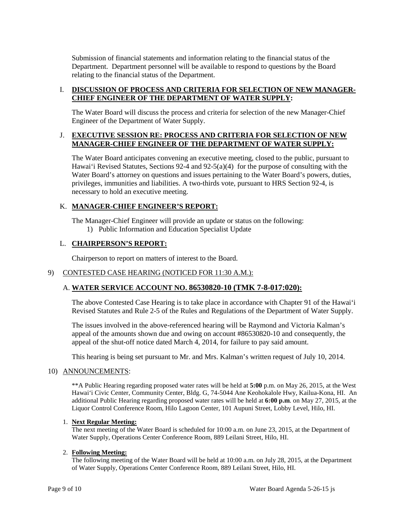Submission of financial statements and information relating to the financial status of the Department. Department personnel will be available to respond to questions by the Board relating to the financial status of the Department.

## **I. DISCUSSION OF PROCESS AND CRITERIA FOR SELECTION OF NEW MANAGER-CHIEF ENGINEER OF THE DEPARTMENT OF WATER SUPPLY:**

The Water Board will discuss the process and criteria for selection of the new Manager-Chief Engineer of the Department of Water Supply.

## J. **EXECUTIVE SESSION RE: PROCESS AND CRITERIA FOR SELECTION OF NEW MANAGER-CHIEF ENGINEER OF THE DEPARTMENT OF WATER SUPPLY:**

 Hawai'i Revised Statutes, Sections 92-4 and 92-5(a)(4) for the purpose of consulting with the privileges, immunities and liabilities. A two-thirds vote, pursuant to HRS Section 92-4, is The Water Board anticipates convening an executive meeting, closed to the public, pursuant to Water Board's attorney on questions and issues pertaining to the Water Board's powers, duties, necessary to hold an executive meeting.

## K. **MANAGER-CHIEF ENGINEER'S REPORT:**

The Manager-Chief Engineer will provide an update or status on the following: 1) Public Information and Education Specialist Update

### L. **CHAIRPERSON'S REPORT:**

Chairperson to report on matters of interest to the Board.

### 9) CONTESTED CASE HEARING (NOTICED FOR 11:30 A.M.):

## A. **WATER SERVICE ACCOUNT NO. 86530820-10 (TMK 7-8-017:020):**

The above Contested Case Hearing is to take place in accordance with Chapter 91 of the Hawai'i Revised Statutes and Rule 2-5 of the Rules and Regulations of the Department of Water Supply.

The issues involved in the above-referenced hearing will be Raymond and Victoria Kalman's appeal of the amounts shown due and owing on account #86530820-10 and consequently, the appeal of the shut-off notice dated March 4, 2014, for failure to pay said amount.

This hearing is being set pursuant to Mr. and Mrs. Kalman's written request of July 10, 2014.

#### 10) ANNOUNCEMENTS:

 Hawai'i Civic Center, Community Center, Bldg. G, 74-5044 Ane Keohokalole Hwy, Kailua-Kona, HI. An Liquor Control Conference Room, Hilo Lagoon Center, 101 Aupuni Street, Lobby Level, Hilo, HI. \*\*A Public Hearing regarding proposed water rates will be held at **5:00** p.m. on May 26, 2015, at the West additional Public Hearing regarding proposed water rates will be held at **6:00 p.m**. on May 27, 2015, at the

#### 1. **Next Regular Meeting:**

 The next meeting of the Water Board is scheduled for 10:00 a.m. on June 23, 2015, at the Department of Water Supply, Operations Center Conference Room, 889 Leilani Street, Hilo, HI.

#### 2. **Following Meeting:**

 of Water Supply, Operations Center Conference Room, 889 Leilani Street, Hilo, HI. The following meeting of the Water Board will be held at 10:00 a.m. on July 28, 2015, at the Department